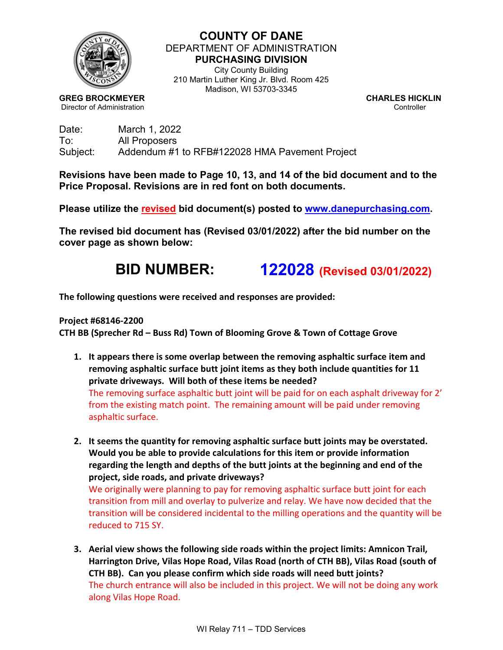

**COUNTY OF DANE** DEPARTMENT OF ADMINISTRATION **PURCHASING DIVISION** City County Building 210 Martin Luther King Jr. Blvd. Room 425

Madison, WI 53703-3345

**GREG BROCKMEYER CHARLES HICKLIN Director of Administration** Controller

| Date:    | March 1, 2022                                  |
|----------|------------------------------------------------|
| To:      | All Proposers                                  |
| Subject: | Addendum #1 to RFB#122028 HMA Pavement Project |

**Revisions have been made to Page 10, 13, and 14 of the bid document and to the Price Proposal. Revisions are in red font on both documents.**

**Please utilize the revised bid document(s) posted to [www.danepurchasing.com.](http://www.danepurchasing.com/)** 

**The revised bid document has (Revised 03/01/2022) after the bid number on the cover page as shown below:**

# **BID NUMBER: 122028 (Revised 03/01/2022)**

**The following questions were received and responses are provided:**

#### **Project #68146-2200**

**CTH BB (Sprecher Rd – Buss Rd) Town of Blooming Grove & Town of Cottage Grove**

- **1. It appears there is some overlap between the removing asphaltic surface item and removing asphaltic surface butt joint items as they both include quantities for 11 private driveways. Will both of these items be needed?** The removing surface asphaltic butt joint will be paid for on each asphalt driveway for 2' from the existing match point. The remaining amount will be paid under removing asphaltic surface.
- **2. It seems the quantity for removing asphaltic surface butt joints may be overstated. Would you be able to provide calculations for this item or provide information regarding the length and depths of the butt joints at the beginning and end of the project, side roads, and private driveways?**

We originally were planning to pay for removing asphaltic surface butt joint for each transition from mill and overlay to pulverize and relay. We have now decided that the transition will be considered incidental to the milling operations and the quantity will be reduced to 715 SY.

**3. Aerial view shows the following side roads within the project limits: Amnicon Trail, Harrington Drive, Vilas Hope Road, Vilas Road (north of CTH BB), Vilas Road (south of CTH BB). Can you please confirm which side roads will need butt joints?** The church entrance will also be included in this project. We will not be doing any work along Vilas Hope Road.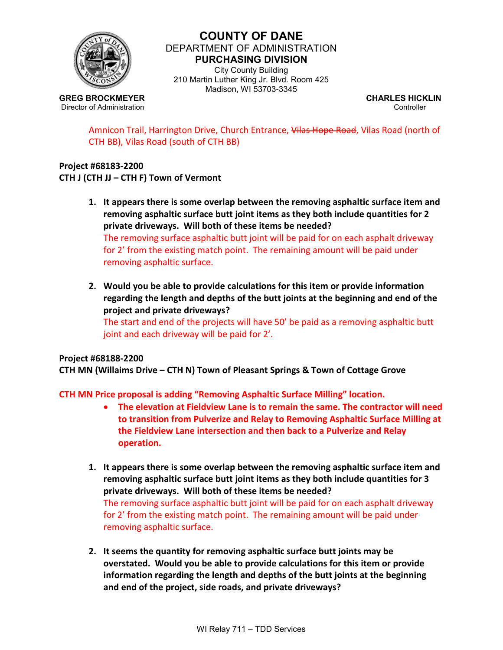

## **COUNTY OF DANE** DEPARTMENT OF ADMINISTRATION **PURCHASING DIVISION**

City County Building 210 Martin Luther King Jr. Blvd. Room 425 Madison, WI 53703-3345

**GREG BROCKMEYER CHARLES HICKLIN Director of Administration** Controller

Amnicon Trail, Harrington Drive, Church Entrance, Vilas Hope Road, Vilas Road (north of CTH BB), Vilas Road (south of CTH BB)

#### **Project #68183-2200 CTH J (CTH JJ – CTH F) Town of Vermont**

- **1. It appears there is some overlap between the removing asphaltic surface item and removing asphaltic surface butt joint items as they both include quantities for 2 private driveways. Will both of these items be needed?** The removing surface asphaltic butt joint will be paid for on each asphalt driveway for 2' from the existing match point. The remaining amount will be paid under removing asphaltic surface.
- **2. Would you be able to provide calculations for this item or provide information regarding the length and depths of the butt joints at the beginning and end of the project and private driveways?** The start and end of the projects will have 50' be paid as a removing asphaltic butt joint and each driveway will be paid for 2'.

## **Project #68188-2200**

**CTH MN (Willaims Drive – CTH N) Town of Pleasant Springs & Town of Cottage Grove**

**CTH MN Price proposal is adding "Removing Asphaltic Surface Milling" location.**

- **The elevation at Fieldview Lane is to remain the same. The contractor will need to transition from Pulverize and Relay to Removing Asphaltic Surface Milling at the Fieldview Lane intersection and then back to a Pulverize and Relay operation.**
- **1. It appears there is some overlap between the removing asphaltic surface item and removing asphaltic surface butt joint items as they both include quantities for 3 private driveways. Will both of these items be needed?** The removing surface asphaltic butt joint will be paid for on each asphalt driveway for 2' from the existing match point. The remaining amount will be paid under removing asphaltic surface.
- **2. It seems the quantity for removing asphaltic surface butt joints may be overstated. Would you be able to provide calculations for this item or provide information regarding the length and depths of the butt joints at the beginning and end of the project, side roads, and private driveways?**